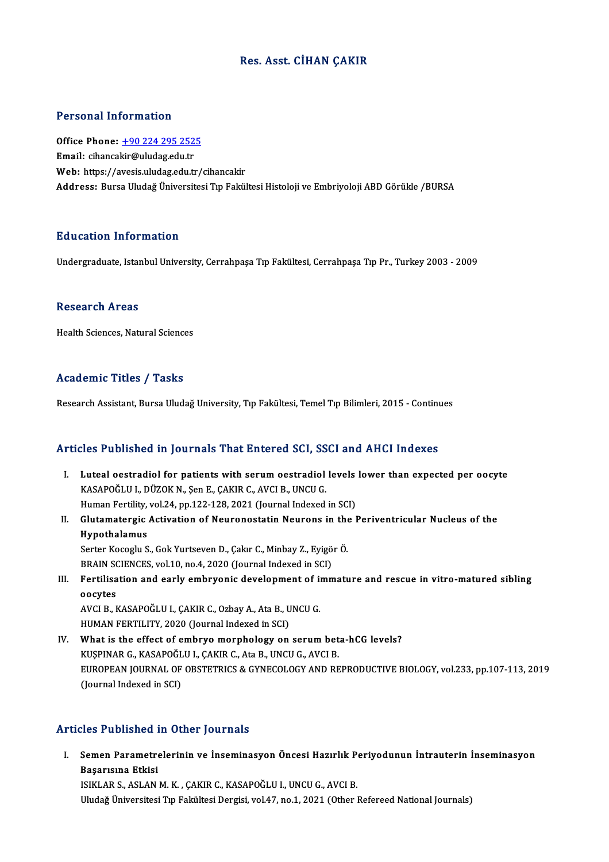### Res. Asst. CİHAN ÇAKIR

### Personal Information

Personal Information<br>Office Phone: <u>+90 224 295 2525</u><br>Email: sibancakir@uludas.edu.tr Procedure Hirocentuction<br>Office Phone: <u>+90 224 295 252</u><br>Email: cihanca[kir@uludag.edu.tr](tel:+90 224 295 2525) Email: cihancakir@uludag.edu.tr<br>Web: https://avesis.uludag.edu.tr/cihancakir Address: Bursa Uludağ Üniversitesi Tıp Fakültesi Histoloji ve Embriyoloji ABD Görükle /BURSA

#### Education Information

Undergraduate, Istanbul University, Cerrahpaşa Tıp Fakültesi, Cerrahpaşa Tıp Pr., Turkey 2003 - 2009

#### Research Areas

Health Sciences, Natural Sciences

#### Academic Titles / Tasks

Research Assistant, Bursa Uludağ University, Tıp Fakültesi, Temel Tıp Bilimleri, 2015 - Continues

#### Articles Published in Journals That Entered SCI, SSCI and AHCI Indexes

- Tricles Published in Journals That Entered SCI, SSCI and AHCI Indexes<br>I. Luteal oestradiol for patients with serum oestradiol levels lower than expected per oocyte<br>KASAROČLIJ, DÜZOK N. SORE CAKIR G. AVGLE UNCU S KASAPOĞLU I., DÜZOK N., Şen E., ÇAKIR C., AVCI B., UNCU G.<br>Human Fertility, vol.24, pp.122-128, 2021 (Journal Indexed in SCI) Luteal oestradiol for patients with serum oestradiol levels<br>KASAPOĞLU I., DÜZOK N., Şen E., ÇAKIR C., AVCI B., UNCU G.<br>Human Fertility, vol.24, pp.122-128, 2021 (Journal Indexed in SCI)<br>Clutemetergie Astivation of Neuropes KASAPOĞLU I., DÜZOK N., Şen E., ÇAKIR C., AVCI B., UNCU G.<br>Human Fertility, vol.24, pp.122-128, 2021 (Journal Indexed in SCI)<br>II. Glutamatergic Activation of Neuronostatin Neurons in the Periventricular Nucleus of the<br>Hyna
- Human Fertility,<br>Glutamatergic<br>Hypothalamus<br>Serter Keseslu S Glutamatergic Activation of Neuronostatin Neurons in the<br>Hypothalamus<br>Serter Kocoglu S., Gok Yurtseven D., Çakır C., Minbay Z., Eyigör Ö.<br>PRAIN SCIENCES .val 10. De 4.2020 (Jaurnal Indoved in SCI) Hypothalamus<br>Serter Kocoglu S., Gok Yurtseven D., Çakır C., Minbay Z., Eyigö<br>BRAIN SCIENCES, vol.10, no.4, 2020 (Journal Indexed in SCI)<br>Fertilisation and early embryonis develenment of imm
- Serter Kocoglu S., Gok Yurtseven D., Çakır C., Minbay Z., Eyigör Ö.<br>BRAIN SCIENCES, vol.10, no.4, 2020 (Journal Indexed in SCI)<br>III. Fertilisation and early embryonic development of immature and rescue in vitro-matured sib BRAIN SON<br>Fertilisa<br>oocytes<br>AVCLP L Fertilisation and early embryonic development of i<mark><br>oocytes</mark><br>AVCI B., KASAPOĞLU I., ÇAKIR C., Ozbay A., Ata B., UNCU G.<br>HUMAN EERTU ITV. 2020 (Jaurnal Indaved in SCI)

oocytes<br>AVCI B., KASAPOĞLU I., ÇAKIR C., Ozbay A., Ata B., UNCU G.<br>HUMAN FERTILITY, 2020 (Journal Indexed in SCI)

IV. What is the effect of embryo morphology on serum beta-hCG levels? HUMAN FERTILITY, 2020 (Journal Indexed in SCI)<br>What is the effect of embryo morphology on serum bet<br>KUŞPINAR G., KASAPOĞLU I., ÇAKIR C., Ata B., UNCU G., AVCI B.<br>FUROPEAN JOURNAL OF ORSTETRICS & CYNECOLOCY AND RE EUROPEAN JOURNAL OF OBSTETRICS & GYNECOLOGY AND REPRODUCTIVE BIOLOGY, vol.233, pp.107-113, 2019<br>(Journal Indexed in SCI) KUŞPINAR G., KASAPOĞL<br>EUROPEAN JOURNAL OF<br>(Journal Indexed in SCI)

### Articles Published in Other Journals

rticles Published in Other Journals<br>I. Semen Parametrelerinin ve İnseminasyon Öncesi Hazırlık Periyodunun İntrauterin İnseminasyon<br>Rasanyaya Etkisi sico 1 dononcu 1<br>Semen Parametre<br>Başarısına Etkisi<br>ISIKI AB S. ASI AN Semen Parametrelerinin ve İnseminasyon Öncesi Hazırlık P<br>Başarısına Etkisi<br>ISIKLAR S., ASLAN M. K. , ÇAKIR C., KASAPOĞLU I., UNCU G., AVCI B.<br>Illudağ Üniversitesi Tın Fakültesi Dergisi vel 47 na 1 2021 (Other l Başarısına Etkisi<br>ISIKLAR S., ASLAN M. K. , ÇAKIR C., KASAPOĞLU I., UNCU G., AVCI B.<br>Uludağ Üniversitesi Tıp Fakültesi Dergisi, vol.47, no.1, 2021 (Other Refereed National Journals)